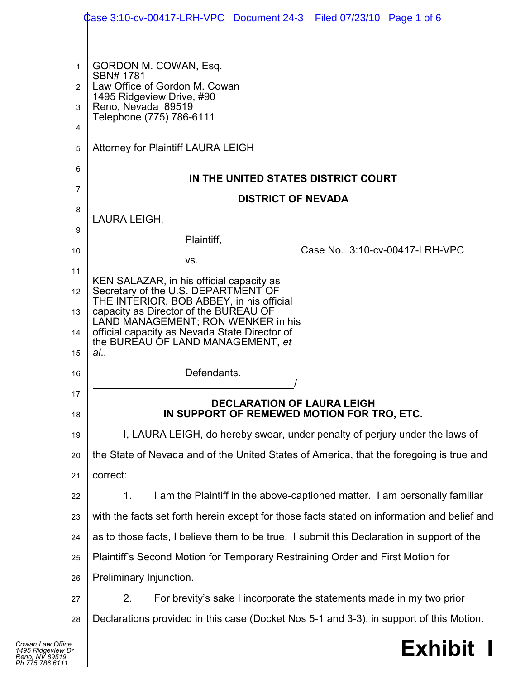|                | Case 3:10-cv-00417-LRH-VPC Document 24-3 Filed 07/23/10 Page 1 of 6                         |
|----------------|---------------------------------------------------------------------------------------------|
|                |                                                                                             |
| 1              | GORDON M. COWAN, Esq.<br>SBN# 1781                                                          |
| $\overline{2}$ | Law Office of Gordon M. Cowan<br>1495 Ridgeview Drive, #90                                  |
| 3              | Reno, Nevada 89519<br>Telephone (775) 786-6111                                              |
| 4              |                                                                                             |
| 5              | <b>Attorney for Plaintiff LAURA LEIGH</b>                                                   |
| 6              | IN THE UNITED STATES DISTRICT COURT                                                         |
| 7              | <b>DISTRICT OF NEVADA</b>                                                                   |
| 8              | LAURA LEIGH,                                                                                |
| 9              | Plaintiff,                                                                                  |
| 10             | Case No. 3:10-cv-00417-LRH-VPC<br>VS.                                                       |
| 11             | KEN SALAZAR, in his official capacity as                                                    |
| 12             | Secretary of the U.S. DEPARTMENT OF<br>THE INTERIOR, BOB ABBEY, in his official             |
| 13             | capacity as Director of the BUREAU OF<br>LAND MANAGEMENT; RON WENKER in his                 |
| 14             | official capacity as Nevada State Director of<br>the BUREAU OF LAND MANAGEMENT, et          |
| 15             | al.,                                                                                        |
| 16             | Defendants.                                                                                 |
| 17<br>18       | <b>DECLARATION OF LAURA LEIGH</b><br>IN SUPPORT OF REMEWED MOTION FOR TRO, ETC.             |
| 19             | I, LAURA LEIGH, do hereby swear, under penalty of perjury under the laws of                 |
| 20             | the State of Nevada and of the United States of America, that the foregoing is true and     |
| 21             | correct:                                                                                    |
| 22             | I am the Plaintiff in the above-captioned matter. I am personally familiar<br>1.            |
| 23             | with the facts set forth herein except for those facts stated on information and belief and |
| 24             | as to those facts, I believe them to be true. I submit this Declaration in support of the   |
| 25             | Plaintiff's Second Motion for Temporary Restraining Order and First Motion for              |
| 26             | Preliminary Injunction.                                                                     |
| 27             | 2.<br>For brevity's sake I incorporate the statements made in my two prior                  |
| 28             | Declarations provided in this case (Docket Nos 5-1 and 3-3), in support of this Motion.     |
| e<br>Dr        | <b>Exhibit</b>                                                                              |

## **Exhibit I**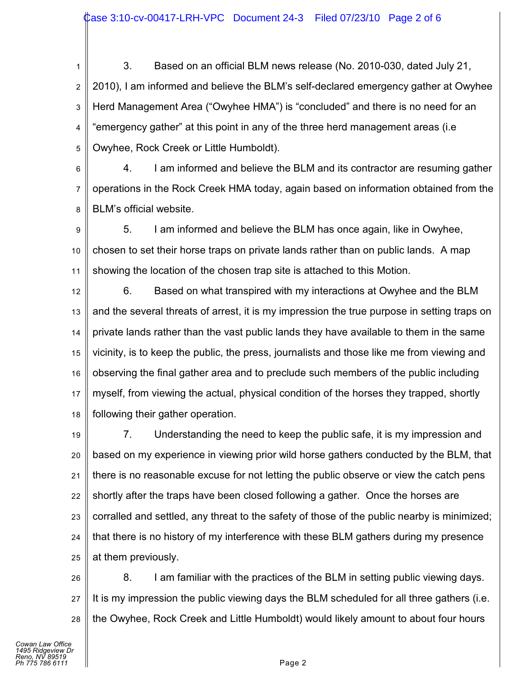1 2 3 4 5 3. Based on an official BLM news release (No. 2010-030, dated July 21, 2010), I am informed and believe the BLM's self-declared emergency gather at Owyhee Herd Management Area ("Owyhee HMA") is "concluded" and there is no need for an "emergency gather" at this point in any of the three herd management areas (i.e Owyhee, Rock Creek or Little Humboldt).

6 7 8 4. I am informed and believe the BLM and its contractor are resuming gather operations in the Rock Creek HMA today, again based on information obtained from the BLM's official website.

9 10 11 5. I am informed and believe the BLM has once again, like in Owyhee, chosen to set their horse traps on private lands rather than on public lands. A map showing the location of the chosen trap site is attached to this Motion.

12 13 14 15 16 17 18 6. Based on what transpired with my interactions at Owyhee and the BLM and the several threats of arrest, it is my impression the true purpose in setting traps on private lands rather than the vast public lands they have available to them in the same vicinity, is to keep the public, the press, journalists and those like me from viewing and observing the final gather area and to preclude such members of the public including myself, from viewing the actual, physical condition of the horses they trapped, shortly following their gather operation.

19 20 21 22 23 24 25 7. Understanding the need to keep the public safe, it is my impression and based on my experience in viewing prior wild horse gathers conducted by the BLM, that there is no reasonable excuse for not letting the public observe or view the catch pens shortly after the traps have been closed following a gather. Once the horses are corralled and settled, any threat to the safety of those of the public nearby is minimized; that there is no history of my interference with these BLM gathers during my presence at them previously.

26 27 28 8. I am familiar with the practices of the BLM in setting public viewing days. It is my impression the public viewing days the BLM scheduled for all three gathers (i.e. the Owyhee, Rock Creek and Little Humboldt) would likely amount to about four hours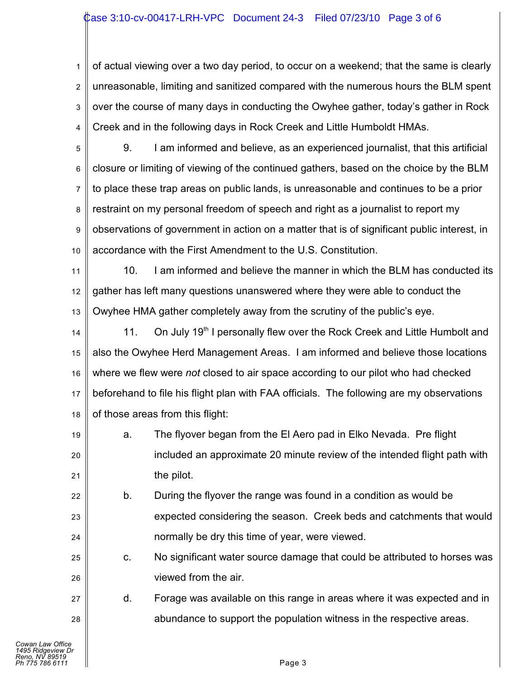## Case 3:10-cv-00417-LRH-VPC Document 24-3 Filed 07/23/10 Page 3 of 6

1 2 3 4 of actual viewing over a two day period, to occur on a weekend; that the same is clearly unreasonable, limiting and sanitized compared with the numerous hours the BLM spent over the course of many days in conducting the Owyhee gather, today's gather in Rock Creek and in the following days in Rock Creek and Little Humboldt HMAs.

5 6 7 8 9 10 9. I am informed and believe, as an experienced journalist, that this artificial closure or limiting of viewing of the continued gathers, based on the choice by the BLM to place these trap areas on public lands, is unreasonable and continues to be a prior restraint on my personal freedom of speech and right as a journalist to report my observations of government in action on a matter that is of significant public interest, in accordance with the First Amendment to the U.S. Constitution.

11 12 13 10. I am informed and believe the manner in which the BLM has conducted its gather has left many questions unanswered where they were able to conduct the Owyhee HMA gather completely away from the scrutiny of the public's eye.

14 15 16 17 18 11. On July 19<sup>th</sup> I personally flew over the Rock Creek and Little Humbolt and also the Owyhee Herd Management Areas. I am informed and believe those locations where we flew were *not* closed to air space according to our pilot who had checked beforehand to file his flight plan with FAA officials. The following are my observations of those areas from this flight:

19 20 21 a. The flyover began from the El Aero pad in Elko Nevada. Pre flight included an approximate 20 minute review of the intended flight path with the pilot.

22 23 24 b. During the flyover the range was found in a condition as would be expected considering the season. Creek beds and catchments that would normally be dry this time of year, were viewed.

c. No significant water source damage that could be attributed to horses was viewed from the air.

d. Forage was available on this range in areas where it was expected and in abundance to support the population witness in the respective areas.

25

26

27

28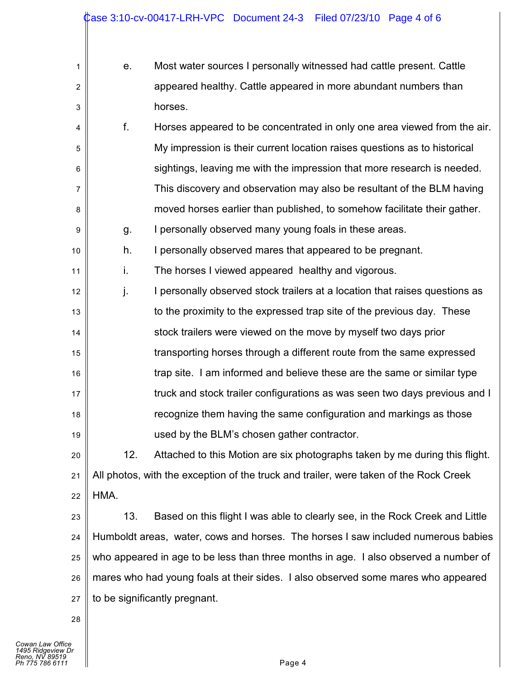| 1              | е.   | Most water sources I personally witnessed had cattle present. Cattle                  |
|----------------|------|---------------------------------------------------------------------------------------|
| $\overline{2}$ |      | appeared healthy. Cattle appeared in more abundant numbers than                       |
| 3              |      | horses.                                                                               |
| 4              | f.   | Horses appeared to be concentrated in only one area viewed from the air.              |
| 5              |      | My impression is their current location raises questions as to historical             |
| 6              |      | sightings, leaving me with the impression that more research is needed.               |
| $\overline{7}$ |      | This discovery and observation may also be resultant of the BLM having                |
| 8              |      | moved horses earlier than published, to somehow facilitate their gather.              |
| 9              | g.   | I personally observed many young foals in these areas.                                |
| 10             | h.   | I personally observed mares that appeared to be pregnant.                             |
| 11             | i.   | The horses I viewed appeared healthy and vigorous.                                    |
| 12             | j.   | I personally observed stock trailers at a location that raises questions as           |
| 13             |      | to the proximity to the expressed trap site of the previous day. These                |
| 14             |      | stock trailers were viewed on the move by myself two days prior                       |
| 15             |      | transporting horses through a different route from the same expressed                 |
| 16             |      | trap site. I am informed and believe these are the same or similar type               |
| 17             |      | truck and stock trailer configurations as was seen two days previous and I            |
| 18             |      | recognize them having the same configuration and markings as those                    |
| 19             |      | used by the BLM's chosen gather contractor.                                           |
| 20             | 12.  | Attached to this Motion are six photographs taken by me during this flight.           |
| 21             |      | All photos, with the exception of the truck and trailer, were taken of the Rock Creek |
| 22             | HMA. |                                                                                       |
| 23             | 13.  | Based on this flight I was able to clearly see, in the Rock Creek and Little          |
| 24             |      | Humboldt areas, water, cows and horses. The horses I saw included numerous babies     |
| 25             |      | who appeared in age to be less than three months in age. I also observed a number of  |
| 26             |      | mares who had young foals at their sides. I also observed some mares who appeared     |
| 27             |      | to be significantly pregnant.                                                         |

28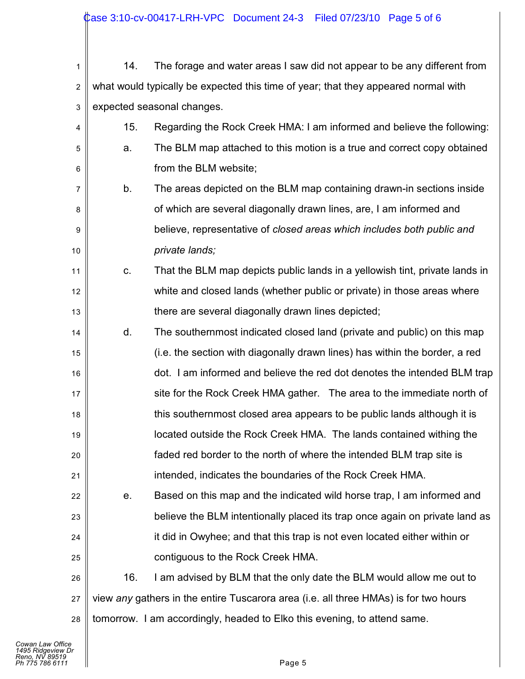| 1                | 14. | The forage and water areas I saw did not appear to be any different from             |
|------------------|-----|--------------------------------------------------------------------------------------|
| $\boldsymbol{2}$ |     | what would typically be expected this time of year; that they appeared normal with   |
| 3                |     | expected seasonal changes.                                                           |
| 4                | 15. | Regarding the Rock Creek HMA: I am informed and believe the following:               |
| 5                | a.  | The BLM map attached to this motion is a true and correct copy obtained              |
| 6                |     | from the BLM website;                                                                |
| $\overline{7}$   | b.  | The areas depicted on the BLM map containing drawn-in sections inside                |
| 8                |     | of which are several diagonally drawn lines, are, I am informed and                  |
| 9                |     | believe, representative of closed areas which includes both public and               |
| 10               |     | private lands;                                                                       |
| 11               | C.  | That the BLM map depicts public lands in a yellowish tint, private lands in          |
| 12               |     | white and closed lands (whether public or private) in those areas where              |
| 13               |     | there are several diagonally drawn lines depicted;                                   |
| 14               | d.  | The southernmost indicated closed land (private and public) on this map              |
| 15               |     | (i.e. the section with diagonally drawn lines) has within the border, a red          |
| 16               |     | dot. I am informed and believe the red dot denotes the intended BLM trap             |
| 17               |     | site for the Rock Creek HMA gather. The area to the immediate north of               |
| 18               |     | this southernmost closed area appears to be public lands although it is              |
| 19               |     | located outside the Rock Creek HMA. The lands contained withing the                  |
| 20               |     | faded red border to the north of where the intended BLM trap site is                 |
| 21               |     | intended, indicates the boundaries of the Rock Creek HMA.                            |
| 22               | е.  | Based on this map and the indicated wild horse trap, I am informed and               |
| 23               |     | believe the BLM intentionally placed its trap once again on private land as          |
| 24               |     | it did in Owyhee; and that this trap is not even located either within or            |
| 25               |     | contiguous to the Rock Creek HMA.                                                    |
| 26               | 16. | I am advised by BLM that the only date the BLM would allow me out to                 |
| 27               |     | view any gathers in the entire Tuscarora area (i.e. all three HMAs) is for two hours |
| 28               |     | tomorrow. I am accordingly, headed to Elko this evening, to attend same.             |